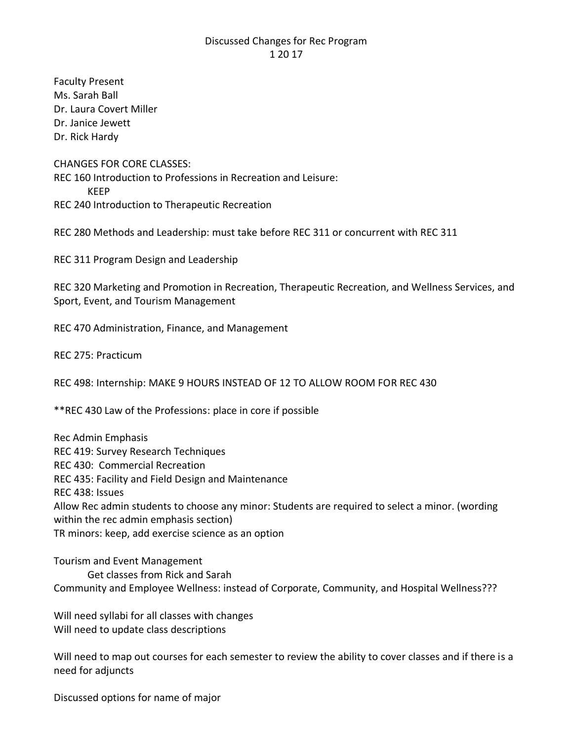## Discussed Changes for Rec Program 1 20 17

Faculty Present Ms. Sarah Ball Dr. Laura Covert Miller Dr. Janice Jewett Dr. Rick Hardy

CHANGES FOR CORE CLASSES: REC 160 Introduction to Professions in Recreation and Leisure: KEEP REC 240 Introduction to Therapeutic Recreation

REC 280 Methods and Leadership: must take before REC 311 or concurrent with REC 311

REC 311 Program Design and Leadership

REC 320 Marketing and Promotion in Recreation, Therapeutic Recreation, and Wellness Services, and Sport, Event, and Tourism Management

REC 470 Administration, Finance, and Management

REC 275: Practicum

REC 498: Internship: MAKE 9 HOURS INSTEAD OF 12 TO ALLOW ROOM FOR REC 430

\*\*REC 430 Law of the Professions: place in core if possible

Rec Admin Emphasis REC 419: Survey Research Techniques REC 430: Commercial Recreation REC 435: Facility and Field Design and Maintenance REC 438: Issues Allow Rec admin students to choose any minor: Students are required to select a minor. (wording within the rec admin emphasis section) TR minors: keep, add exercise science as an option

Tourism and Event Management Get classes from Rick and Sarah Community and Employee Wellness: instead of Corporate, Community, and Hospital Wellness???

Will need syllabi for all classes with changes Will need to update class descriptions

Will need to map out courses for each semester to review the ability to cover classes and if there is a need for adjuncts

Discussed options for name of major